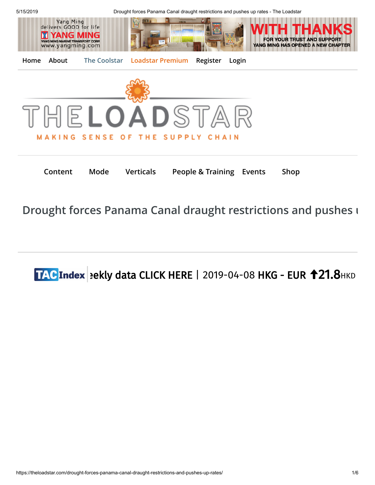

5/15/2019 Drought forces Panama Canal draught restrictions and pushes up rates - The Loadstar



**[Home](https://theloadstar.com/) About [The Coolstar](https://theloadstar.com/the-coolstar) [Loadstar Premium](https://theloadstar.com/subscription-stories) [Register](https://theloadstar.com/register) [Login](https://theloadstar.com/login)**



**[Content](https://theloadstar.com/drought-forces-panama-canal-draught-restrictions-and-pushes-up-rates/) [Mode](https://theloadstar.com/drought-forces-panama-canal-draught-restrictions-and-pushes-up-rates/) [Verticals](https://theloadstar.com/drought-forces-panama-canal-draught-restrictions-and-pushes-up-rates/) [People & Training](https://theloadstar.com/category/people-and-training/) Events [Shop](https://theloadstar.com/products)**

**[Drought forces Panama Canal draught restrictions and pushes u](https://theloadstar.com/drought-forces-panama-canal-draught-restrictions-and-pushes-up-rates/)**

# $\overline{LAC}$ Index | ekly data CLICK HERE | [2019-04-08](https://www.tacindex.com/) HKG - EUR  $\overline{121.8}$ HKD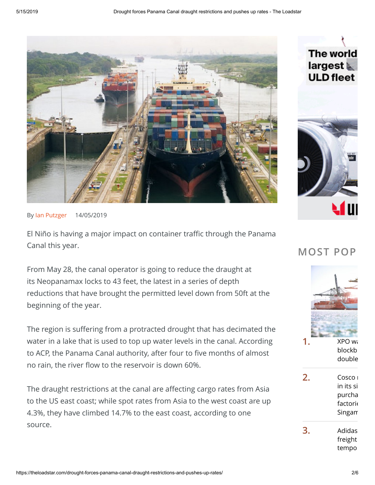

By [Ian Putzger](https://theloadstar.com/?s=Ian+Putzger) 14/05/2019

El Niño is having a major impact on container traffic through the Panama Canal this year.

From May 28, the canal operator is going to reduce the draught at its Neopanamax locks to 43 feet, the latest in a series of depth reductions that have brought the permitted level down from 50ft at the beginning of the year.

The region is suffering from a protracted drought that has decimated the water in a lake that is used to top up water levels in the canal. According to ACP, the Panama Canal authority, after four to five months of almost no rain, the river flow to the reservoir is down 60%.

The draught restrictions at the canal are affecting cargo rates from Asia to the US east coast; while spot rates from Asia to the west coast are up 4.3%, they have climbed 14.7% to the east coast, according to one source.



## **MOST POP**

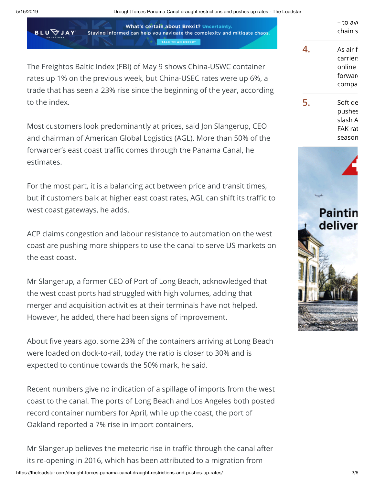**BLU** 

5/15/2019 Drought forces Panama Canal draught restrictions and pushes up rates - The Loadstar

**What's certain about Brexit? Uncertainty.** Staying informed can help you navigate the complexity and mitigate chaos. TALK TO AN EXPERT

The Freightos Baltic Index (FBI) of May 9 shows China-USWC container rates up 1% on the previous week, but China-USEC rates were up 6%, a trade that has seen a 23% rise since the beginning of the year, according to the index.

Most customers look predominantly at prices, said Jon Slangerup, CEO and chairman of American Global Logistics (AGL). More than 50% of the forwarder's east coast traffic comes through the Panama Canal, he estimates.

For the most part, it is a balancing act between price and transit times, but if customers balk at higher east coast rates, AGL can shift its traffic to west coast gateways, he adds.

ACP claims congestion and labour resistance to automation on the west coast are pushing more shippers to use the canal to serve US markets on the east coast.

Mr Slangerup, a former CEO of Port of Long Beach, acknowledged that the west coast ports had struggled with high volumes, adding that merger and acquisition activities at their terminals have not helped. However, he added, there had been signs of improvement.

About five years ago, some 23% of the containers arriving at Long Beach were loaded on dock-to-rail, today the ratio is closer to 30% and is expected to continue towards the 50% mark, he said.

Recent numbers give no indication of a spillage of imports from the west coast to the canal. The ports of Long Beach and Los Angeles both posted record container numbers for April, while up the coast, the port of Oakland reported a 7% rise in import containers.

https://theloadstar.com/drought-forces-panama-canal-draught-restrictions-and-pushes-up-rates/ 3/6 Mr Slangerup believes the meteoric rise in traffic through the canal after its re-opening in 2016, which has been attributed to a migration from

|   | – to avi |
|---|----------|
|   | chain s  |
|   | As air f |
|   | carrier: |
|   | online   |
|   | forwar   |
|   | compa    |
| 5 | Soft de  |
|   | pushes   |
|   | slash A  |
|   | FAK rat  |
|   | season   |

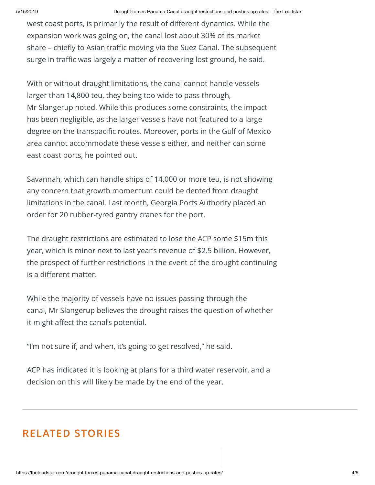west coast ports, is primarily the result of different dynamics. While the expansion work was going on, the canal lost about 30% of its market share – chiefly to Asian traffic moving via the Suez Canal. The subsequent surge in traffic was largely a matter of recovering lost ground, he said.

With or without draught limitations, the canal cannot handle vessels larger than 14,800 teu, they being too wide to pass through, Mr Slangerup noted. While this produces some constraints, the impact has been negligible, as the larger vessels have not featured to a large degree on the transpacific routes. Moreover, ports in the Gulf of Mexico area cannot accommodate these vessels either, and neither can some east coast ports, he pointed out.

Savannah, which can handle ships of 14,000 or more teu, is not showing any concern that growth momentum could be dented from draught limitations in the canal. Last month, Georgia Ports Authority placed an order for 20 rubber-tyred gantry cranes for the port.

The draught restrictions are estimated to lose the ACP some \$15m this year, which is minor next to last year's revenue of \$2.5 billion. However, the prospect of further restrictions in the event of the drought continuing is a different matter.

While the majority of vessels have no issues passing through the canal, Mr Slangerup believes the drought raises the question of whether it might affect the canal's potential.

"I'm not sure if, and when, it's going to get resolved," he said.

ACP has indicated it is looking at plans for a third water reservoir, and a decision on this will likely be made by the end of the year.

## **RELATED STORIES**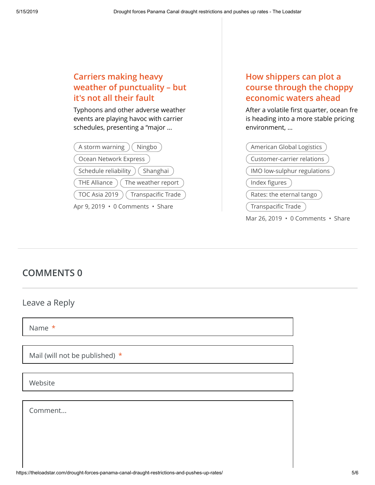#### **Carriers making heavy [weather of punctuality – but](https://theloadstar.com/carriers-making-heavy-weather-of-punctuality-but-its-not-all-their-fault/) it's not all their fault**

Typhoons and other adverse weather events are playing havoc with carrier schedules, presenting a "major ...

| A storm warning $($ Ningbo $)$              |  |
|---------------------------------------------|--|
| Ocean Network Express                       |  |
| (Schedule reliability) (Shanghai)           |  |
| $($ THE Alliance $)$ $($ The weather report |  |
| (TOC Asia 2019) (Transpacific Trade         |  |
| Apr 9, 2019 · 0 Comments · Share            |  |

### **How shippers can plot a [course through the choppy](https://theloadstar.com/how-shippers-can-plot-a-course-through-the-choppy-economic-waters-ahead/) economic waters ahead**

After a volatile first quarter, ocean fre is heading into a more stable pricing environment, ...



## **COMMENTS 0**

#### Leave a Reply

Name \*

Mail (will not be published) \*

Website

Comment...